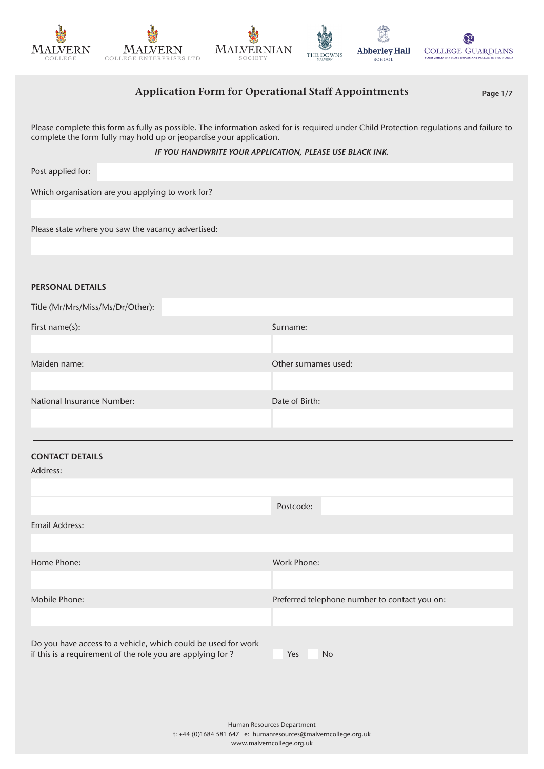









# Application Form for Operational Staff Appointments Page 1/7

Please complete this form as fully as possible. The information asked for is required under Child Protection regulations and failure to complete the form fully may hold up or jeopardise your application.

#### *IF YOU HANDWRITE YOUR APPLICATION, PLEASE USE BLACK INK.*

Post applied for:

Which organisation are you applying to work for?

Please state where you saw the vacancy advertised:

PERSONAL DETAILS

| Title (Mr/Mrs/Miss/Ms/Dr/Other): |                      |
|----------------------------------|----------------------|
| First name(s):                   | Surname:             |
|                                  |                      |
| Maiden name:                     | Other surnames used: |
|                                  |                      |
| National Insurance Number:       | Date of Birth:       |
|                                  |                      |

### CONTACT DETAILS

Address:

|                                                                                                                             | Postcode:                                     |
|-----------------------------------------------------------------------------------------------------------------------------|-----------------------------------------------|
| Email Address:                                                                                                              |                                               |
|                                                                                                                             |                                               |
| Home Phone:                                                                                                                 | Work Phone:                                   |
|                                                                                                                             |                                               |
| Mobile Phone:                                                                                                               | Preferred telephone number to contact you on: |
|                                                                                                                             |                                               |
| Do you have access to a vehicle, which could be used for work<br>if this is a requirement of the role you are applying for? | <b>No</b><br>Yes                              |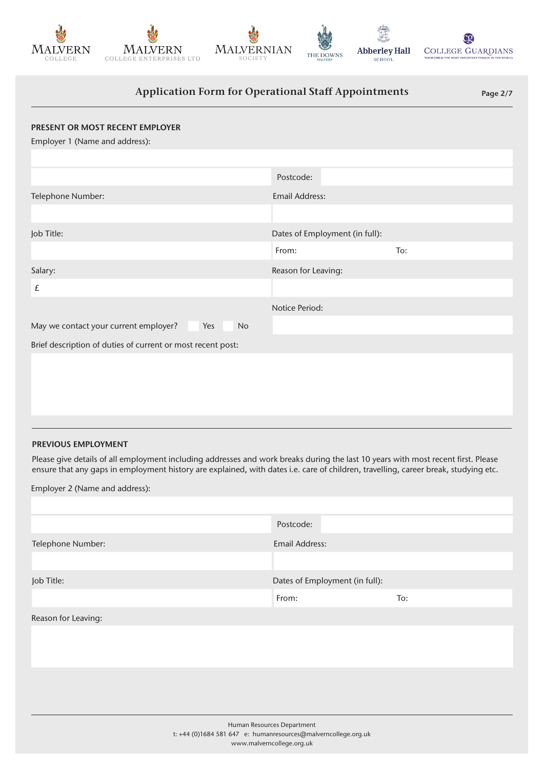









# Application Form for Operational Staff Appointments Page 2/7

| PRESENT OR MOST RECENT EMPLOYER                             |                                |     |
|-------------------------------------------------------------|--------------------------------|-----|
| Employer 1 (Name and address):                              |                                |     |
|                                                             |                                |     |
|                                                             | Postcode:                      |     |
| Telephone Number:                                           | <b>Email Address:</b>          |     |
|                                                             |                                |     |
| Job Title:                                                  | Dates of Employment (in full): |     |
|                                                             | From:                          | To: |
| Salary:                                                     | Reason for Leaving:            |     |
| £                                                           |                                |     |
|                                                             | Notice Period:                 |     |
| May we contact your current employer?<br>Yes<br><b>No</b>   |                                |     |
| Brief description of duties of current or most recent post: |                                |     |
|                                                             |                                |     |
|                                                             |                                |     |

### PREVIOUS EMPLOYMENT

Please give details of all employment including addresses and work breaks during the last 10 years with most recent first. Please ensure that any gaps in employment history are explained, with dates i.e. care of children, travelling, career break, studying etc.

Employer 2 (Name and address):

|                     | Postcode:                      |     |
|---------------------|--------------------------------|-----|
| Telephone Number:   | <b>Email Address:</b>          |     |
|                     |                                |     |
| Job Title:          | Dates of Employment (in full): |     |
|                     | From:                          | To: |
| Reason for Leaving: |                                |     |
|                     |                                |     |
|                     |                                |     |
|                     |                                |     |
|                     |                                |     |
|                     |                                |     |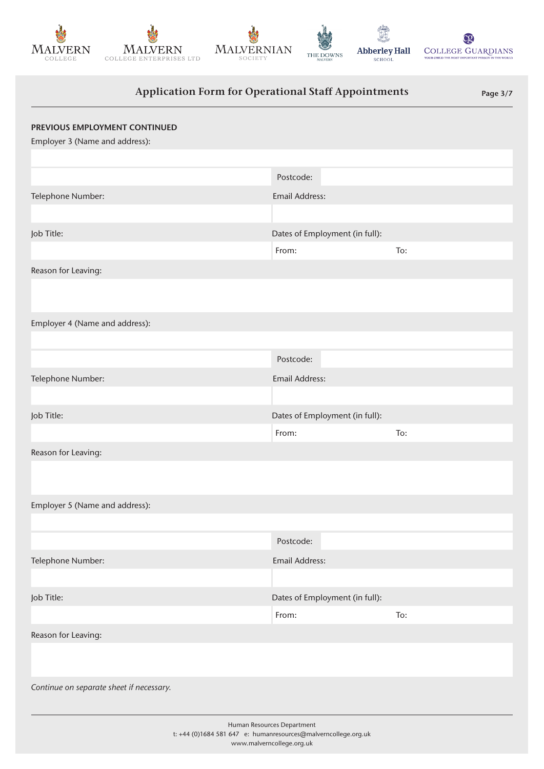







Abberley Hall SCHOOL



# Application Form for Operational Staff Appointments Page 3/7

| PREVIOUS EMPLOYMENT CONTINUED<br>Employer 3 (Name and address):                                                           |                                |     |
|---------------------------------------------------------------------------------------------------------------------------|--------------------------------|-----|
|                                                                                                                           |                                |     |
|                                                                                                                           | Postcode:                      |     |
| Telephone Number:                                                                                                         | Email Address:                 |     |
|                                                                                                                           |                                |     |
| Job Title:                                                                                                                | Dates of Employment (in full): |     |
|                                                                                                                           | From:                          | To: |
| Reason for Leaving:                                                                                                       |                                |     |
|                                                                                                                           |                                |     |
| Employer 4 (Name and address):                                                                                            |                                |     |
|                                                                                                                           |                                |     |
|                                                                                                                           | Postcode:                      |     |
| Telephone Number:                                                                                                         | Email Address:                 |     |
|                                                                                                                           |                                |     |
| Job Title:                                                                                                                | Dates of Employment (in full): |     |
|                                                                                                                           | From:                          | To: |
| Reason for Leaving:                                                                                                       |                                |     |
|                                                                                                                           |                                |     |
| Employer 5 (Name and address):                                                                                            |                                |     |
|                                                                                                                           |                                |     |
|                                                                                                                           | Postcode:                      |     |
| Telephone Number:                                                                                                         | <b>Email Address:</b>          |     |
|                                                                                                                           |                                |     |
| Job Title:                                                                                                                | Dates of Employment (in full): |     |
|                                                                                                                           | From:                          | To: |
| Reason for Leaving:                                                                                                       |                                |     |
|                                                                                                                           |                                |     |
| Continue on separate sheet if necessary.                                                                                  |                                |     |
| Human Resources Department<br>t: +44 (0)1684 581 647 e: humanresources@malverncollege.org.uk<br>www.malverncollege.org.uk |                                |     |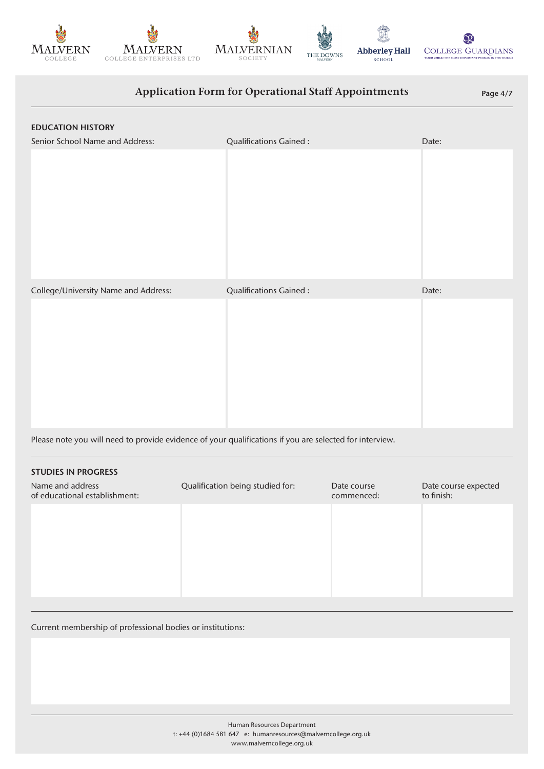









# Application Form for Operational Staff Appointments Page 4/7

| <b>EDUCATION HISTORY</b>             |                               |       |
|--------------------------------------|-------------------------------|-------|
| Senior School Name and Address:      | Qualifications Gained:        | Date: |
|                                      |                               |       |
| College/University Name and Address: | <b>Qualifications Gained:</b> | Date: |
|                                      |                               |       |

Please note you will need to provide evidence of your qualifications if you are selected for interview.

# Name and address of educational establishment: Qualification being studied for: Date course commenced: Date course expected to finish: STUDIES IN PROGRESS

Current membership of professional bodies or institutions: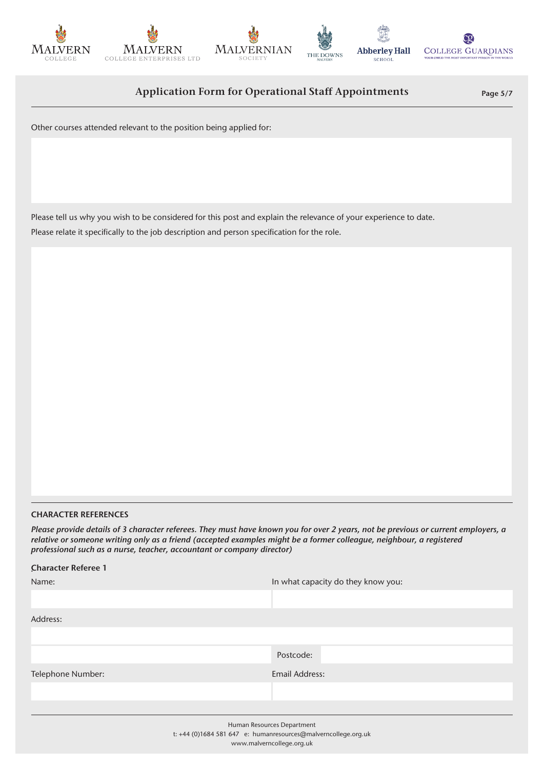







ĊΘ **Abberley Hall COLLEGE GUARDIANS** 

Application Form for Operational Staff Appointments Page 5/7

Other courses attended relevant to the position being applied for:

Please tell us why you wish to be considered for this post and explain the relevance of your experience to date. Please relate it specifically to the job description and person specification for the role.

### CHARACTER REFERENCES

*Please provide details of 3 character referees. They must have known you for over 2 years, not be previous or current employers, a relative or someone writing only as a friend (accepted examples might be a former colleague, neighbour, a registered professional such as a nurse, teacher, accountant or company director)*

| <b>Character Referee 1</b> |                                    |
|----------------------------|------------------------------------|
| Name:                      | In what capacity do they know you: |
|                            |                                    |
| Address:                   |                                    |
|                            |                                    |
|                            | Postcode:                          |
| Telephone Number:          | <b>Email Address:</b>              |
|                            |                                    |
|                            |                                    |
| Human Resources Department |                                    |

t: +44 (0)1684 581 647 e: humanresources@malverncollege.org.uk www.malverncollege.org.uk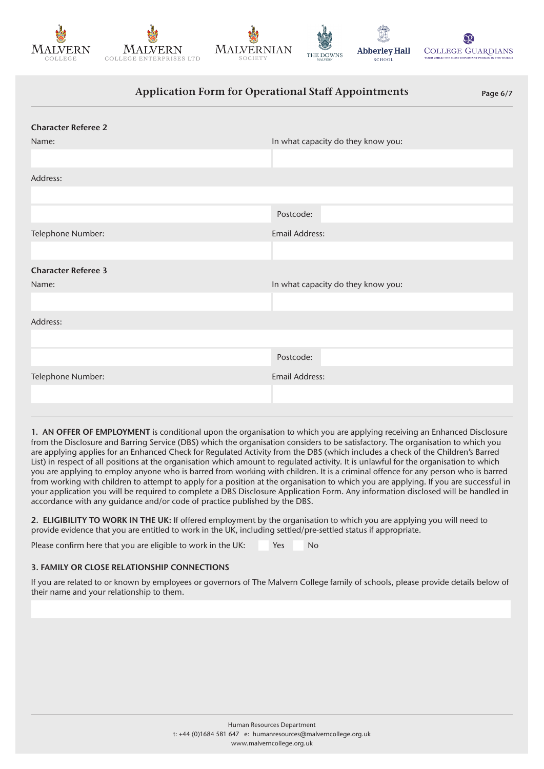









# Application Form for Operational Staff Appointments Page 6/7 Telephone Number: Email Address: Character Referee 2 Address: Postcode: Telephone Number: Email Address: Character Referee 3 Address: Postcode: Name: In what capacity do they know you: Name: **In what capacity do they know you:** In what capacity do they know you:

1. AN OFFER OF EMPLOYMENT is conditional upon the organisation to which you are applying receiving an Enhanced Disclosure from the Disclosure and Barring Service (DBS) which the organisation considers to be satisfactory. The organisation to which you are applying applies for an Enhanced Check for Regulated Activity from the DBS (which includes a check of the Children's Barred List) in respect of all positions at the organisation which amount to regulated activity. It is unlawful for the organisation to which you are applying to employ anyone who is barred from working with children. It is a criminal offence for any person who is barred from working with children to attempt to apply for a position at the organisation to which you are applying. If you are successful in your application you will be required to complete a DBS Disclosure Application Form. Any information disclosed will be handled in accordance with any guidance and/or code of practice published by the DBS.

2. ELIGIBILITY TO WORK IN THE UK: If offered employment by the organisation to which you are applying you will need to provide evidence that you are entitled to work in the UK, including settled/pre-settled status if appropriate.

Please confirm here that you are eligible to work in the UK: Yes No

## 3. FAMILY OR CLOSE RELATIONSHIP CONNECTIONS

If you are related to or known by employees or governors of The Malvern College family of schools, please provide details below of their name and your relationship to them.